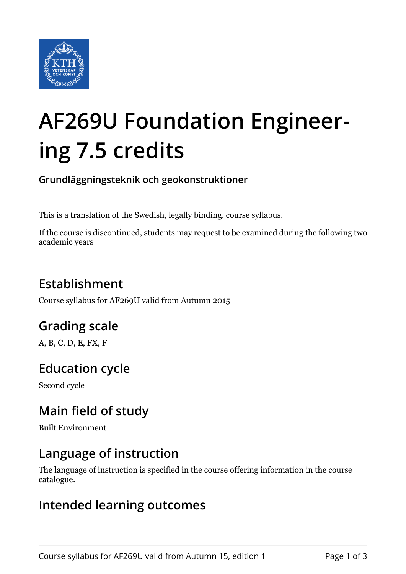

# **AF269U Foundation Engineering 7.5 credits**

**Grundläggningsteknik och geokonstruktioner**

This is a translation of the Swedish, legally binding, course syllabus.

If the course is discontinued, students may request to be examined during the following two academic years

# **Establishment**

Course syllabus for AF269U valid from Autumn 2015

# **Grading scale**

A, B, C, D, E, FX, F

# **Education cycle**

Second cycle

## **Main field of study**

Built Environment

## **Language of instruction**

The language of instruction is specified in the course offering information in the course catalogue.

## **Intended learning outcomes**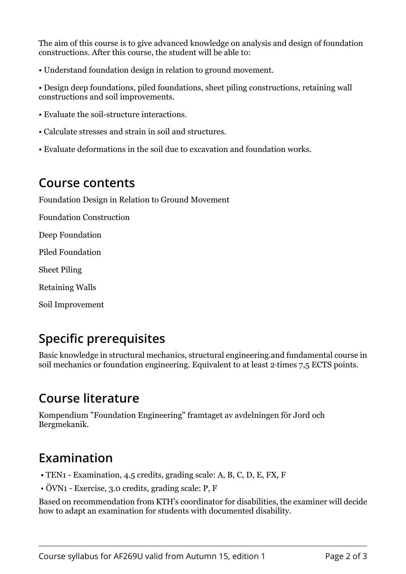The aim of this course is to give advanced knowledge on analysis and design of foundation constructions. After this course, the student will be able to:

• Understand foundation design in relation to ground movement.

• Design deep foundations, piled foundations, sheet piling constructions, retaining wall constructions and soil improvements.

- Evaluate the soil-structure interactions.
- Calculate stresses and strain in soil and structures.
- Evaluate deformations in the soil due to excavation and foundation works.

#### **Course contents**

Foundation Design in Relation to Ground Movement

Foundation Construction

Deep Foundation

Piled Foundation

Sheet Piling

Retaining Walls

Soil Improvement

## **Specific prerequisites**

Basic knowledge in structural mechanics, structural engineering.and fundamental course in soil mechanics or foundation engineering. Equivalent to at least 2-times 7.5 ECTS points.

## **Course literature**

Kompendium "Foundation Engineering" framtaget av avdelningen för Jord och Bergmekanik.

## **Examination**

- TEN1 Examination, 4.5 credits, grading scale: A, B, C, D, E, FX, F
- $\cdot$  ÖVN1 Exercise, 3.0 credits, grading scale: P, F

Based on recommendation from KTH's coordinator for disabilities, the examiner will decide how to adapt an examination for students with documented disability.